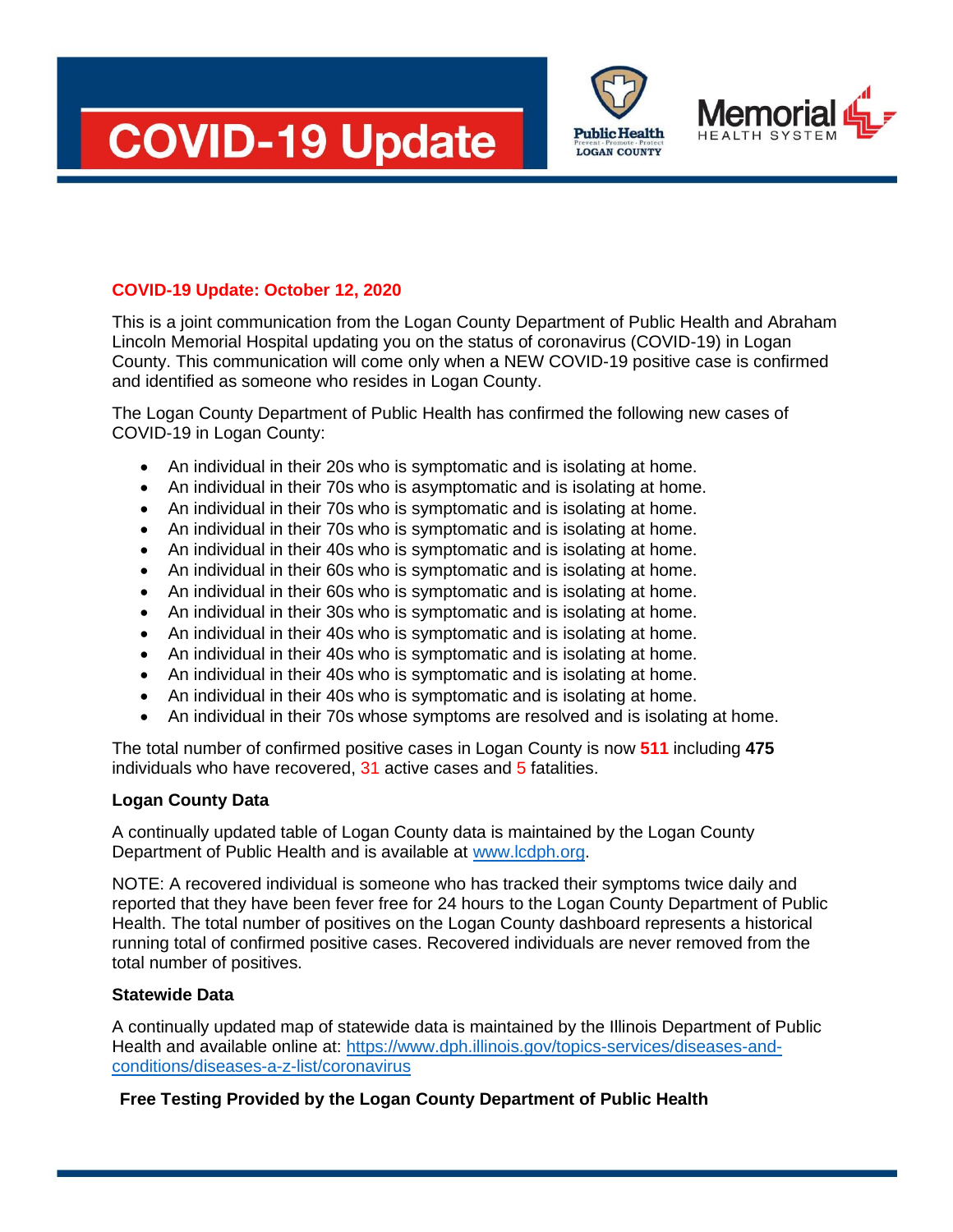





## **COVID-19 Update: October 12, 2020**

This is a joint communication from the Logan County Department of Public Health and Abraham Lincoln Memorial Hospital updating you on the status of coronavirus (COVID-19) in Logan County. This communication will come only when a NEW COVID-19 positive case is confirmed and identified as someone who resides in Logan County.

The Logan County Department of Public Health has confirmed the following new cases of COVID-19 in Logan County:

- An individual in their 20s who is symptomatic and is isolating at home.
- An individual in their 70s who is asymptomatic and is isolating at home.
- An individual in their 70s who is symptomatic and is isolating at home.
- An individual in their 70s who is symptomatic and is isolating at home.
- An individual in their 40s who is symptomatic and is isolating at home.
- An individual in their 60s who is symptomatic and is isolating at home.
- An individual in their 60s who is symptomatic and is isolating at home.
- An individual in their 30s who is symptomatic and is isolating at home.
- An individual in their 40s who is symptomatic and is isolating at home.
- An individual in their 40s who is symptomatic and is isolating at home.
- An individual in their 40s who is symptomatic and is isolating at home.
- An individual in their 40s who is symptomatic and is isolating at home.
- An individual in their 70s whose symptoms are resolved and is isolating at home.

The total number of confirmed positive cases in Logan County is now **511** including **475**  individuals who have recovered, 31 active cases and 5 fatalities.

## **Logan County Data**

A continually updated table of Logan County data is maintained by the Logan County Department of Public Health and is available at [www.lcdph.org.](http://www.lcdph.org/)

NOTE: A recovered individual is someone who has tracked their symptoms twice daily and reported that they have been fever free for 24 hours to the Logan County Department of Public Health. The total number of positives on the Logan County dashboard represents a historical running total of confirmed positive cases. Recovered individuals are never removed from the total number of positives.

## **Statewide Data**

A continually updated map of statewide data is maintained by the Illinois Department of Public Health and available online at: [https://www.dph.illinois.gov/topics-services/diseases-and](https://www.dph.illinois.gov/topics-services/diseases-and-conditions/diseases-a-z-list/coronavirus)[conditions/diseases-a-z-list/coronavirus](https://www.dph.illinois.gov/topics-services/diseases-and-conditions/diseases-a-z-list/coronavirus)

## **Free Testing Provided by the Logan County Department of Public Health**